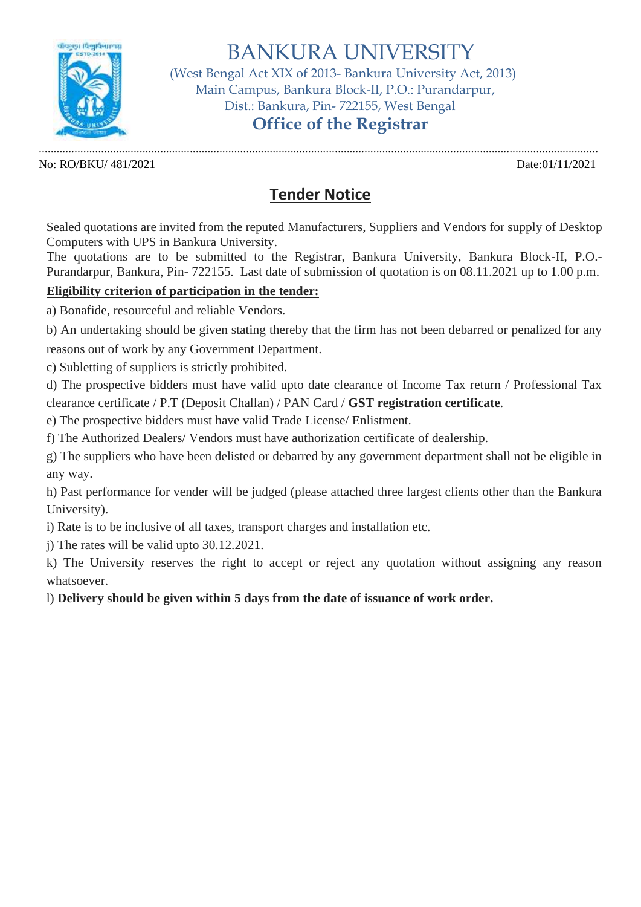

BANKURA UNIVERSITY

 (West Bengal Act XIX of 2013- Bankura University Act, 2013) Main Campus, Bankura Block-II, P.O.: Purandarpur, Dist.: Bankura, Pin- 722155, West Bengal

# **Office of the Registrar**

............................................................................................................................................................................................. No: RO/BKU/ 481/2021 Date:01/11/2021

## **Tender Notice**

Sealed quotations are invited from the reputed Manufacturers, Suppliers and Vendors for supply of Desktop Computers with UPS in Bankura University.

The quotations are to be submitted to the Registrar, Bankura University, Bankura Block-II, P.O.- Purandarpur, Bankura, Pin- 722155. Last date of submission of quotation is on 08.11.2021 up to 1.00 p.m.

### **Eligibility criterion of participation in the tender:**

a) Bonafide, resourceful and reliable Vendors.

b) An undertaking should be given stating thereby that the firm has not been debarred or penalized for any reasons out of work by any Government Department.

c) Subletting of suppliers is strictly prohibited.

d) The prospective bidders must have valid upto date clearance of Income Tax return / Professional Tax clearance certificate / P.T (Deposit Challan) / PAN Card / **GST registration certificate**.

e) The prospective bidders must have valid Trade License/ Enlistment.

f) The Authorized Dealers/ Vendors must have authorization certificate of dealership.

g) The suppliers who have been delisted or debarred by any government department shall not be eligible in any way.

h) Past performance for vender will be judged (please attached three largest clients other than the Bankura University).

i) Rate is to be inclusive of all taxes, transport charges and installation etc.

j) The rates will be valid upto 30.12.2021.

k) The University reserves the right to accept or reject any quotation without assigning any reason whatsoever.

l) **Delivery should be given within 5 days from the date of issuance of work order.**